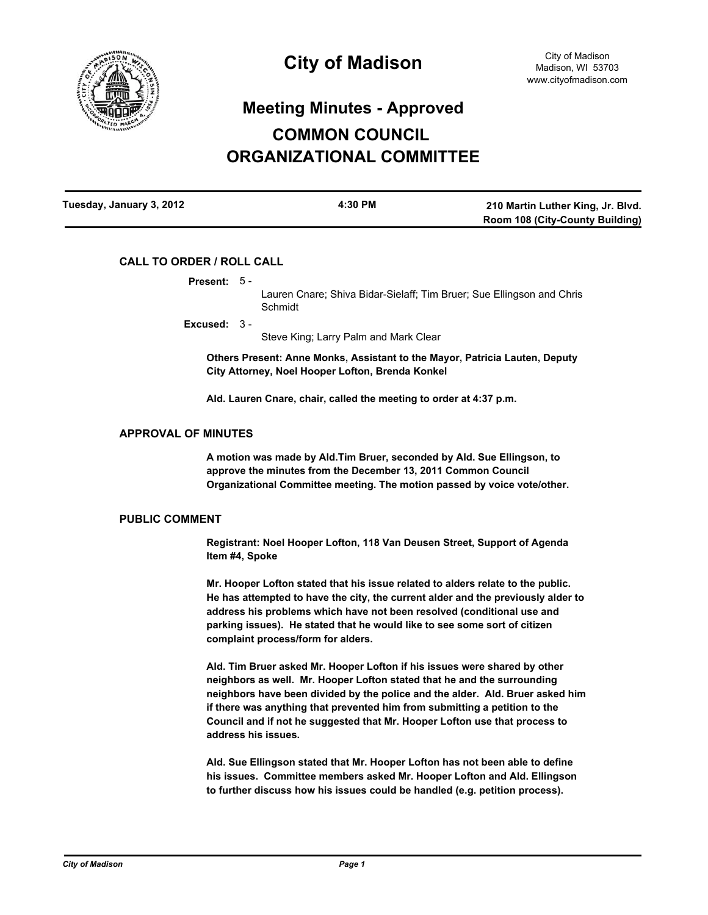

# **Meeting Minutes - Approved COMMON COUNCIL ORGANIZATIONAL COMMITTEE**

| Tuesday, January 3, 2012 | 4:30 PM | 210 Martin Luther King, Jr. Blvd.      |  |
|--------------------------|---------|----------------------------------------|--|
|                          |         | <b>Room 108 (City-County Building)</b> |  |

## **CALL TO ORDER / ROLL CALL**

|  | <b>Present:</b> |  |  |
|--|-----------------|--|--|
|  |                 |  |  |

Lauren Cnare; Shiva Bidar-Sielaff; Tim Bruer; Sue Ellingson and Chris Schmidt

**Excused:** 3 -

Steve King; Larry Palm and Mark Clear

**Others Present: Anne Monks, Assistant to the Mayor, Patricia Lauten, Deputy City Attorney, Noel Hooper Lofton, Brenda Konkel**

**Ald. Lauren Cnare, chair, called the meeting to order at 4:37 p.m.**

### **APPROVAL OF MINUTES**

**A motion was made by Ald.Tim Bruer, seconded by Ald. Sue Ellingson, to approve the minutes from the December 13, 2011 Common Council Organizational Committee meeting. The motion passed by voice vote/other.**

### **PUBLIC COMMENT**

**Registrant: Noel Hooper Lofton, 118 Van Deusen Street, Support of Agenda Item #4, Spoke**

**Mr. Hooper Lofton stated that his issue related to alders relate to the public. He has attempted to have the city, the current alder and the previously alder to address his problems which have not been resolved (conditional use and parking issues). He stated that he would like to see some sort of citizen complaint process/form for alders.**

**Ald. Tim Bruer asked Mr. Hooper Lofton if his issues were shared by other neighbors as well. Mr. Hooper Lofton stated that he and the surrounding neighbors have been divided by the police and the alder. Ald. Bruer asked him if there was anything that prevented him from submitting a petition to the Council and if not he suggested that Mr. Hooper Lofton use that process to address his issues.**

**Ald. Sue Ellingson stated that Mr. Hooper Lofton has not been able to define his issues. Committee members asked Mr. Hooper Lofton and Ald. Ellingson to further discuss how his issues could be handled (e.g. petition process).**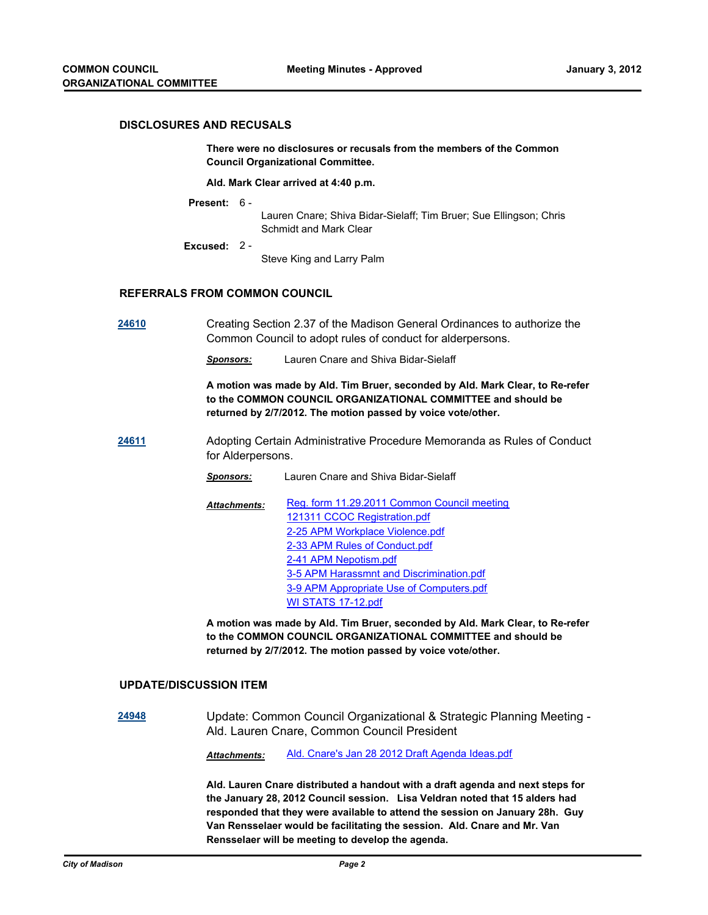#### **DISCLOSURES AND RECUSALS**

**There were no disclosures or recusals from the members of the Common Council Organizational Committee.**

#### **Ald. Mark Clear arrived at 4:40 p.m.**

**Present:** 6 -

Lauren Cnare; Shiva Bidar-Sielaff; Tim Bruer; Sue Ellingson; Chris Schmidt and Mark Clear

**Excused:** 2 -

Steve King and Larry Palm

## **REFERRALS FROM COMMON COUNCIL**

**[24610](http://madison.legistar.com/gateway.aspx?M=L&ID=27124)** Creating Section 2.37 of the Madison General Ordinances to authorize the Common Council to adopt rules of conduct for alderpersons.

*Sponsors:* Lauren Cnare and Shiva Bidar-Sielaff

**A motion was made by Ald. Tim Bruer, seconded by Ald. Mark Clear, to Re-refer to the COMMON COUNCIL ORGANIZATIONAL COMMITTEE and should be returned by 2/7/2012. The motion passed by voice vote/other.**

- **[24611](http://madison.legistar.com/gateway.aspx?M=L&ID=27125)** Adopting Certain Administrative Procedure Memoranda as Rules of Conduct for Alderpersons.
	- *Sponsors:* Lauren Cnare and Shiva Bidar-Sielaff
	- [Reg. form 11.29.2011 Common Council meeting](http://madison.legistar.com/gateway.aspx?M=F&ID=236dee3f-de49-49b2-aa12-0160e9908afd.pdf) [121311 CCOC Registration.pdf](http://madison.legistar.com/gateway.aspx?M=F&ID=c18c9b6b-5347-43af-92df-8d1439b6cdd9.pdf) [2-25 APM Workplace Violence.pdf](http://madison.legistar.com/gateway.aspx?M=F&ID=94259ef3-cd7a-453b-91e7-2900240765e4.pdf) [2-33 APM Rules of Conduct.pdf](http://madison.legistar.com/gateway.aspx?M=F&ID=08deaffb-97ef-4cf0-9378-ea389d233a6b.pdf) [2-41 APM Nepotism.pdf](http://madison.legistar.com/gateway.aspx?M=F&ID=293bd987-8978-465f-9ce0-a752507d094e.pdf) [3-5 APM Harassmnt and Discrimination.pdf](http://madison.legistar.com/gateway.aspx?M=F&ID=e4cd2cbd-7dff-4aae-be5f-e067f2482312.pdf) [3-9 APM Appropriate Use of Computers.pdf](http://madison.legistar.com/gateway.aspx?M=F&ID=c7b50bf8-2222-4982-ad46-4fcddefc429c.pdf) [WI STATS 17-12.pdf](http://madison.legistar.com/gateway.aspx?M=F&ID=b116a92a-c935-4e8f-b5da-d4542b2803fd.pdf) *Attachments:*

**A motion was made by Ald. Tim Bruer, seconded by Ald. Mark Clear, to Re-refer to the COMMON COUNCIL ORGANIZATIONAL COMMITTEE and should be returned by 2/7/2012. The motion passed by voice vote/other.**

#### **UPDATE/DISCUSSION ITEM**

**[24948](http://madison.legistar.com/gateway.aspx?M=L&ID=27493)** Update: Common Council Organizational & Strategic Planning Meeting - Ald. Lauren Cnare, Common Council President

*Attachments:* [Ald. Cnare's Jan 28 2012 Draft Agenda Ideas.pdf](http://madison.legistar.com/gateway.aspx?M=F&ID=4025c4e3-2d42-49a4-bb51-4d908fbbf93c.pdf)

**Ald. Lauren Cnare distributed a handout with a draft agenda and next steps for the January 28, 2012 Council session. Lisa Veldran noted that 15 alders had responded that they were available to attend the session on January 28h. Guy Van Rensselaer would be facilitating the session. Ald. Cnare and Mr. Van Rensselaer will be meeting to develop the agenda.**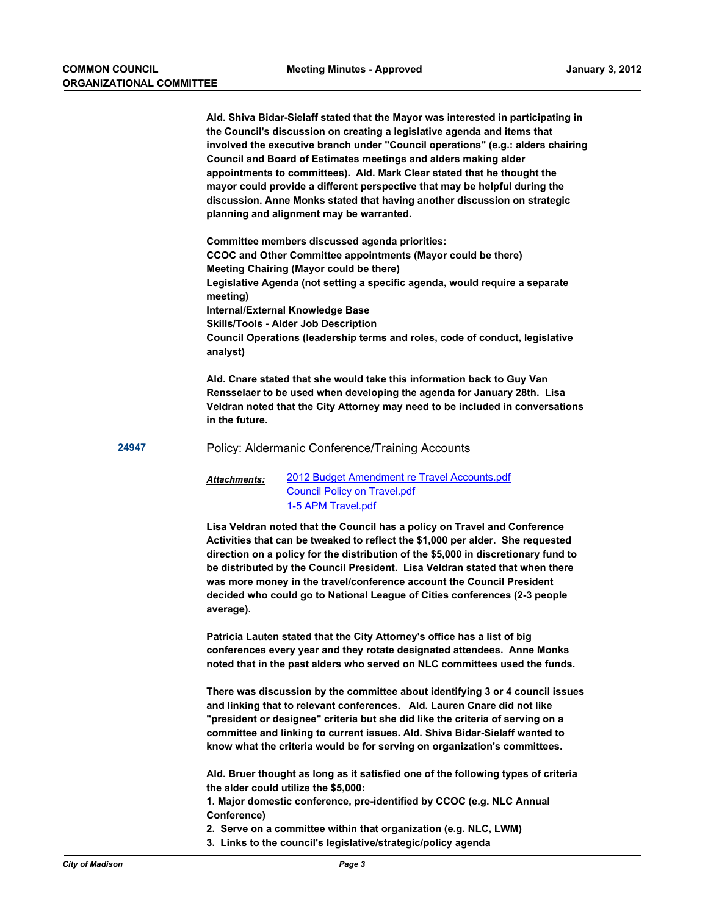**Ald. Shiva Bidar-Sielaff stated that the Mayor was interested in participating in the Council's discussion on creating a legislative agenda and items that involved the executive branch under "Council operations" (e.g.: alders chairing Council and Board of Estimates meetings and alders making alder appointments to committees). Ald. Mark Clear stated that he thought the mayor could provide a different perspective that may be helpful during the discussion. Anne Monks stated that having another discussion on strategic planning and alignment may be warranted.**

**Committee members discussed agenda priorities: CCOC and Other Committee appointments (Mayor could be there) Meeting Chairing (Mayor could be there) Legislative Agenda (not setting a specific agenda, would require a separate meeting) Internal/External Knowledge Base Skills/Tools - Alder Job Description Council Operations (leadership terms and roles, code of conduct, legislative analyst)**

**Ald. Cnare stated that she would take this information back to Guy Van Rensselaer to be used when developing the agenda for January 28th. Lisa Veldran noted that the City Attorney may need to be included in conversations in the future.**

**[24947](http://madison.legistar.com/gateway.aspx?M=L&ID=27492)** Policy: Aldermanic Conference/Training Accounts

#### [2012 Budget Amendment re Travel Accounts.pdf](http://madison.legistar.com/gateway.aspx?M=F&ID=eca35055-6304-4cd6-884b-b00b9fd63c76.pdf) [Council Policy on Travel.pdf](http://madison.legistar.com/gateway.aspx?M=F&ID=4fb092d4-3849-4e06-8696-7cb3b20627ff.pdf) [1-5 APM Travel.pdf](http://madison.legistar.com/gateway.aspx?M=F&ID=7489d660-cee7-4250-b3ea-b2ec26c041a4.pdf) *Attachments:*

**Lisa Veldran noted that the Council has a policy on Travel and Conference Activities that can be tweaked to reflect the \$1,000 per alder. She requested direction on a policy for the distribution of the \$5,000 in discretionary fund to be distributed by the Council President. Lisa Veldran stated that when there was more money in the travel/conference account the Council President decided who could go to National League of Cities conferences (2-3 people average).**

**Patricia Lauten stated that the City Attorney's office has a list of big conferences every year and they rotate designated attendees. Anne Monks noted that in the past alders who served on NLC committees used the funds.**

**There was discussion by the committee about identifying 3 or 4 council issues and linking that to relevant conferences. Ald. Lauren Cnare did not like "president or designee" criteria but she did like the criteria of serving on a committee and linking to current issues. Ald. Shiva Bidar-Sielaff wanted to know what the criteria would be for serving on organization's committees.**

**Ald. Bruer thought as long as it satisfied one of the following types of criteria the alder could utilize the \$5,000:**

**1. Major domestic conference, pre-identified by CCOC (e.g. NLC Annual Conference)**

**2. Serve on a committee within that organization (e.g. NLC, LWM)**

**3. Links to the council's legislative/strategic/policy agenda**